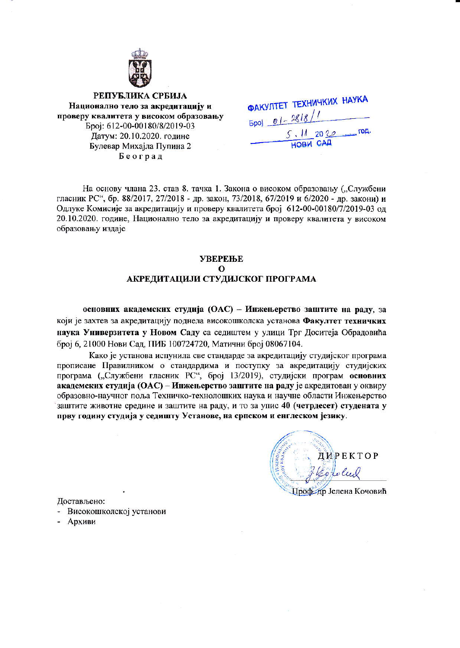

РЕПУБЛИКА СРБИЈА Национално тело за акредитацију и проверу квалитета у високом образовању Epoj: 612-00-00180/8/2019-03 Датум: 20.10.2020. године Булевар Михајла Пупина 2 Београд

| <b>ФАКУЛТЕТ ТЕХНИЧКИХ НАУКА</b> |  |
|---------------------------------|--|
| $Epoj = 01 - 2818/1$            |  |
| 5.112022500                     |  |
| <b>HOBM CALL</b>                |  |

На основу члана 23. став 8. тачка 1. Закона о високом образовању ("Службени гласник РС", бр. 88/2017, 27/2018 - др. закон, 73/2018, 67/2019 и 6/2020 - др. закони) и Одлуке Комисије за акредитацију и проверу квалитета број 612-00-00180/7/2019-03 од 20.10.2020. године, Национално тело за акредитацију и проверу квалитета у високом образовању издаје

### **УВЕРЕЊЕ**  $\Omega$ АКРЕДИТАЦИЈИ СТУДИЈСКОГ ПРОГРАМА

основних академских студија (ОАС) - Инжењерство заштите на раду, за који је захтев за акредитацију поднела високошколска установа Факултет техничких наука Универзитета у Новом Саду са седиштем у улици Трг Доситеја Обрадовића број 6, 21000 Нови Сад, ПИБ 100724720, Матични број 08067104.

Како је установа испунила све стандарде за акредитацију студијског програма прописане Правилником о стандардима и поступку за акредитацију студијских програма ("Службени гласник РС", број 13/2019), студијски програм основних академских студија (ОАС) - Инжењерство заштите на раду је акредитован у оквиру образовно-научног поља Техничко-технолошких наука и научне области Инжењерство заштите животне средине и заштите на раду, и то за упис 40 (четрдесет) студената у прву годину студија у седишту Установе, на српском и енглеском језику.

ДИРЕКТОР orolu Профедр Јелена Кочовић

Достављено:

- Високошколској установи

- Архиви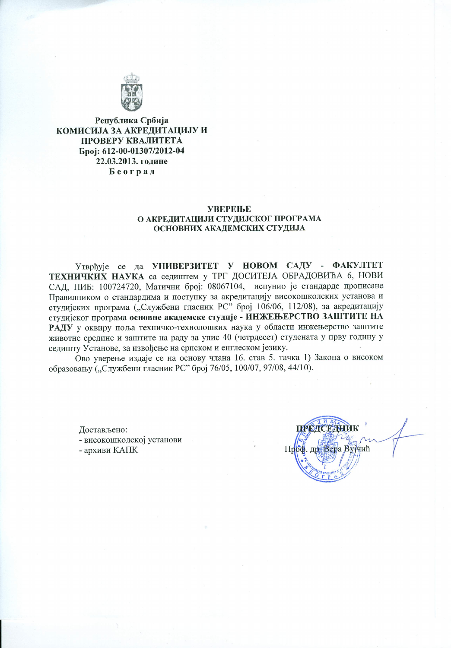

Република Србија КОМИСИЈА ЗА АКРЕДИТАЦИЈУ И ПРОВЕРУ КВАЛИТЕТА Број: 612-00-01307/2012-04 22.03.2013. године Београд

#### **УВЕРЕЊЕ** О АКРЕДИТАЦИЈИ СТУДИЈСКОГ ПРОГРАМА ОСНОВНИХ АКАДЕМСКИХ СТУДИЈА

Утврђује се да УНИВЕРЗИТЕТ У НОВОМ САДУ - ФАКУЛТЕТ ТЕХНИЧКИХ НАУКА са седиштем у ТРГ ДОСИТЕЈА ОБРАДОВИЋА 6, НОВИ САД, ПИБ: 100724720, Матични број: 08067104, испунио је стандарде прописане Правилником о стандардима и поступку за акредитацију високошколских установа и студијских програма ("Службени гласник РС" број 106/06, 112/08), за акредитацију студијског програма основне академске студије - ИНЖЕЊЕРСТВО ЗАШТИТЕ НА РАДУ у оквиру поља техничко-технолошких наука у области инжењерство заштите животне средине и заштите на раду за упис 40 (четрдесет) студената у прву годину у седишту Установе, за извођење на српском и енглеском језику.

Ово уверење издаје се на основу члана 16. став 5. тачка 1) Закона о високом образовању ("Службени гласник РС" број 76/05, 100/07, 97/08, 44/10).

Достављено: - високошколској установи - архиви КАПК

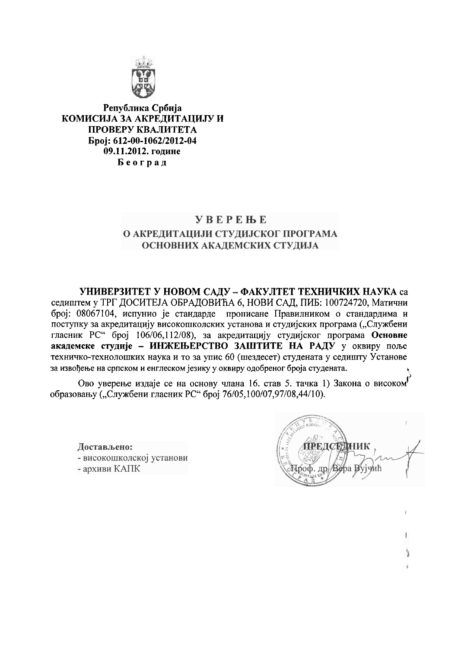

Република Србија КОМИСИЈА ЗА АКРЕЛИТАЦИЈУ И ПРОВЕРУ КВАЛИТЕТА Epoj: 612-00-1062/2012-04 09.11.2012. године Београд

# **YBEPEHE** О АКРЕДИТАЦИЈИ СТУДИЈСКОГ ПРОГРАМА ОСНОВНИХ АКАДЕМСКИХ СТУДИЈА

УНИВЕРЗИТЕТ У НОВОМ САДУ - ФАКУЛТЕТ ТЕХНИЧКИХ НАУКА са седиштем у ТРГ ДОСИТЕЈА ОБРАДОВИЋА 6, НОВИ САД, ПИБ: 100724720, Матични број: 08067104, испунио је стандарде прописане Правилником о стандардима и поступку за акредитацију високошколских установа и студијских програма ("Службени гласник РС" број 106/06,112/08), за акредитацију студијског програма Основне академске студије - ИНЖЕЊЕРСТВО ЗАШТИТЕ НА РАДУ у оквиру поље техничко-технолошких наука и то за упис 60 (шездесет) студената у седишту Установе за извођење на српском и енглеском језику у оквиру одобреног броја студената.

Ово уверење издаје се на основу члана 16. став 5. тачка 1) Закона о високом образовању ("Службени гласник РС" број 76/05,100/07,97/08,44/10).

Достављено: - високошколској установи - архиви КАПК